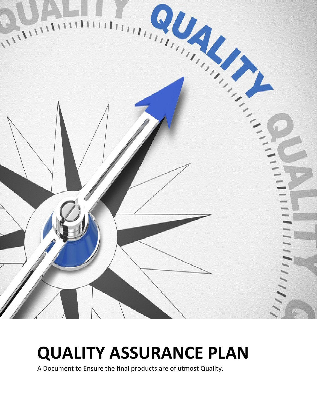

## QUALITY ASSURANCE PLAN

A Document to Ensure the final products are of utmost Quality.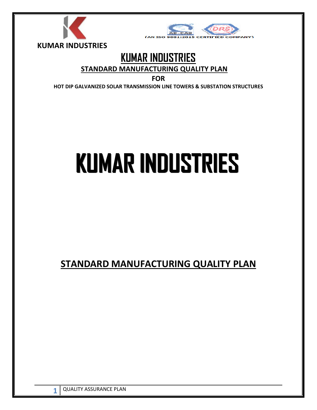



## KUMAR INDUSTRIES

#### STANDARD MANUFACTURING QUALITY PLAN

FOR

HOT DIP GALVANIZED SOLAR TRANSMISSION LINE TOWERS & SUBSTATION STRUCTURES

# KUMAR INDUSTRIES

STANDARD MANUFACTURING QUALITY PLAN

1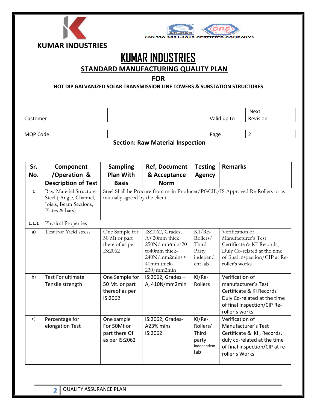| <b>(AN ISO</b><br><b>KUMAR INDUSTRIES</b><br><b>KUMAR INDUSTRIES</b><br><b>STANDARD MANUFACTURING QUALITY PLAN</b><br><b>FOR</b><br><b>HOT DIP GALVANIZED SOLAR TRANSMISSION LINE TOWERS &amp; SUBSTATION STRUCTURES</b> |                                                                                              |                                                               |                                                                                                                                |                                                               |                                                                                                                                                        |                                                                                                                    |  |
|--------------------------------------------------------------------------------------------------------------------------------------------------------------------------------------------------------------------------|----------------------------------------------------------------------------------------------|---------------------------------------------------------------|--------------------------------------------------------------------------------------------------------------------------------|---------------------------------------------------------------|--------------------------------------------------------------------------------------------------------------------------------------------------------|--------------------------------------------------------------------------------------------------------------------|--|
| Customer:                                                                                                                                                                                                                |                                                                                              |                                                               |                                                                                                                                |                                                               | Valid up to                                                                                                                                            | <b>Next</b><br>Revision                                                                                            |  |
|                                                                                                                                                                                                                          |                                                                                              |                                                               |                                                                                                                                |                                                               |                                                                                                                                                        |                                                                                                                    |  |
| MQP Code                                                                                                                                                                                                                 |                                                                                              |                                                               | <b>Section: Raw Material Inspection</b>                                                                                        | Page:                                                         |                                                                                                                                                        | $\overline{2}$                                                                                                     |  |
| Sr.<br>No.                                                                                                                                                                                                               | Component<br>/Operation &<br><b>Description of Test</b>                                      | <b>Sampling</b><br><b>Plan With</b><br><b>Basis</b>           | <b>Ref, Document</b><br>& Acceptance<br><b>Norm</b>                                                                            | <b>Testing</b><br><b>Agency</b>                               | <b>Remarks</b>                                                                                                                                         |                                                                                                                    |  |
| $\mathbf{1}$                                                                                                                                                                                                             | Raw Material Structure<br>Steel (Angle, Channel,<br>Joists, Beam Sections,<br>Plates & bars) | mutually agreed by the client                                 | Steel Shall be Procure from main Producer/PGCIL/IS Approved Re-Rollers or as                                                   |                                                               |                                                                                                                                                        |                                                                                                                    |  |
| 1.1.1                                                                                                                                                                                                                    | Physical Properties                                                                          |                                                               |                                                                                                                                |                                                               |                                                                                                                                                        |                                                                                                                    |  |
| a)                                                                                                                                                                                                                       | Test For Yield stress                                                                        | One Sample for<br>50 Mt or part<br>there of as per<br>IS:2062 | IS:2062, Grades,<br>A<20mm thick<br>250N/mm <sup>2</sup> mins20<br>to40mm thick-<br>240N/mm2mins><br>40mm thick-<br>230/mm2min | $KI/Re-$<br>Rollers/<br>Third<br>Party<br>independ<br>ent lab | Verification of<br>Manufacturer's Test<br>Certificate & KI Records,<br>Duly Co-related at the time<br>of final inspection/CIP at Re-<br>roller's works |                                                                                                                    |  |
| b)                                                                                                                                                                                                                       | Test For ultimate<br>Tensile strength                                                        | One Sample for<br>50 Mt. or part<br>thereof as per<br>IS:2062 | IS:2062, Grades-<br>A, 410N/mm2min                                                                                             | KI/Re-<br>Rollers                                             | Verification of<br>manufacturer's Test<br>Certificate & KI Records<br>Duly Co-related at the time<br>of final inspection/CIP Re-<br>roller's works     |                                                                                                                    |  |
| c)                                                                                                                                                                                                                       | Percentage for<br>elongation Test                                                            | One sample<br>For 50Mt or<br>part there Of<br>as per IS:2062  | IS:2062, Grades-<br>A23% mins<br>IS:2062                                                                                       | KI/Re-<br>Rollers/<br>Third<br>party<br>independent<br>lab    | Verification of<br>roller's Works                                                                                                                      | Manufacturer's Test<br>Certificate & KI, Records,<br>duly co-related at the time<br>of final inspection/CIP at re- |  |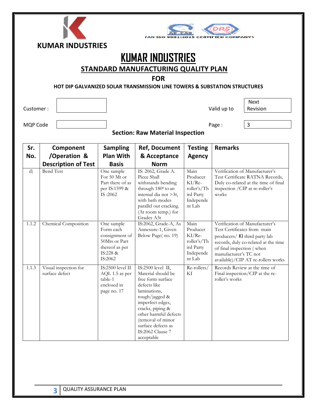

## KUMAR INDUSTRIES

STANDARD MANUFACTURING QUALITY PLAN

#### FOR

#### HOT DIP GALVANIZED SOLAR TRANSMISSION LINE TOWERS & SUBSTATION STRUCTURES

l

Customer :  $\begin{vmatrix} 1 & 1 & 1 \\ 1 & 1 & 1 \\ 1 & 1 & 1 \end{vmatrix}$  Valid up to

Next Revision

MQP Code | and 2009 | and 2009 | and 2009 | and 2009 | and 2009 | and 2009 | and 2009 | and 2009 | and 2009 | and 2009 | and 2009 | and 2009 | and 2009 | and 2009 | and 2009 | and 2009 | and 2009 | and 2009 | and 2009 | an

#### Section: Raw Material Inspection

| Sr.          | Component                               | <b>Sampling</b>                                                                                     | <b>Ref, Document</b>                                                                                                                                                                                                                                                | <b>Testing</b>                                                                  | <b>Remarks</b>                                                                                                                                                                                                                     |
|--------------|-----------------------------------------|-----------------------------------------------------------------------------------------------------|---------------------------------------------------------------------------------------------------------------------------------------------------------------------------------------------------------------------------------------------------------------------|---------------------------------------------------------------------------------|------------------------------------------------------------------------------------------------------------------------------------------------------------------------------------------------------------------------------------|
| No.          | /Operation &                            | <b>Plan With</b>                                                                                    | & Acceptance                                                                                                                                                                                                                                                        | <b>Agency</b>                                                                   |                                                                                                                                                                                                                                    |
|              | <b>Description of Test</b>              | <b>Basis</b>                                                                                        | <b>Norm</b>                                                                                                                                                                                                                                                         |                                                                                 |                                                                                                                                                                                                                                    |
| $\mathbf{d}$ | <b>Bend Test</b>                        | One sample<br>For 50 Mt or<br>Part there of as<br>per IS:1599 &<br>IS:2062                          | IS: 2062, Grade A.<br>Piece Shall<br>withstands bending<br>through 1800 to an<br>internal dia not >3t,<br>with bath modes<br>parallel out cracking.<br>(At room temp.) for<br>Grades A3t                                                                            | Main<br>Producer<br>$KI/Re-$<br>roller's/Th<br>ird Party<br>Independe<br>nt Lab | Verification of Manufacturer's<br>Test Certificate RATNA Records,<br>Duly co-related at the time of final<br>inspection / CIP at re-roller's<br>works                                                                              |
| 1.1.2        | Chemical Composition                    | One sample<br>Form each<br>consignment of<br>50Mts or Part<br>thereof as per<br>IS:228 &<br>IS:2062 | IS:2062, Grade-A, As<br>Annexure-1, Given<br>Below Page(no. 19)                                                                                                                                                                                                     | Main<br>Producer<br>$KI/Re-$<br>roller's/Th<br>ird Party<br>Independe<br>nt Lab | Verification of Manufacturer's<br>Test Certificates from main<br>producers/ KI third party lab<br>records, duly co-related at the time<br>of final inspection (when<br>manufacturer's TC not<br>available)/CIP AT re-rollers works |
| 1.1.3        | Visual inspection for<br>surface defect | IS:2500 level II<br>AQL 1.5 as per<br>table-1<br>enclosed in<br>page no. 17                         | IS:2500 level II,<br>Material should be<br>free form surface<br>defects like<br>laminations,<br>rough/jagged &<br>imperfect edges,<br>cracks, piping &<br>other harmful defects<br>(removal of minor<br>surface defects as<br><b>IS:2062 Clause 7</b><br>acceptable | Re-rollers/<br>KI                                                               | Records Review at the time of<br>Final inspection/CIP at the re-<br>roller's works                                                                                                                                                 |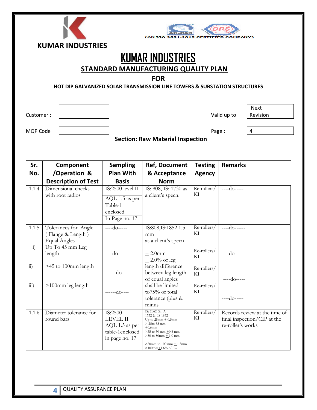|                         | <b>2015 CERTIFIED COMPANY)</b><br>AN TSO                                             |             |
|-------------------------|--------------------------------------------------------------------------------------|-------------|
| <b>KUMAR INDUSTRIES</b> |                                                                                      |             |
|                         | <b>KUMAR INDUSTRIES</b>                                                              |             |
|                         | STANDARD MANUFACTURING QUALITY PLAN                                                  |             |
|                         | <b>FOR</b>                                                                           |             |
|                         | <b>HOT DIP GALVANIZED SOLAR TRANSMISSION LINE TOWERS &amp; SUBSTATION STRUCTURES</b> |             |
|                         |                                                                                      |             |
|                         |                                                                                      |             |
|                         |                                                                                      | <b>Next</b> |
| Customer:               | Valid up to                                                                          | Revision    |
|                         |                                                                                      |             |
| MQP Code                | Page:                                                                                | 4           |
|                         | <b>Section: Raw Material Inspection</b>                                              |             |
|                         |                                                                                      |             |

| Sr.                   | Component                              | <b>Sampling</b>            | <b>Ref, Document</b>                                           | <b>Testing</b>    | <b>Remarks</b>                                               |
|-----------------------|----------------------------------------|----------------------------|----------------------------------------------------------------|-------------------|--------------------------------------------------------------|
| No.                   | /Operation &                           | <b>Plan With</b>           | & Acceptance                                                   | <b>Agency</b>     |                                                              |
|                       | <b>Description of Test</b>             | <b>Basis</b>               | <b>Norm</b>                                                    |                   |                                                              |
| 1.1.4                 | Dimensional checks<br>with root radios | IS:2500 level II           | IS: 808, IS: 1730 as<br>a client's specn.                      | Re-rollers/<br>KI | $---do---$                                                   |
|                       |                                        | AQL-1.5 as per             |                                                                |                   |                                                              |
|                       |                                        | Table-1                    |                                                                |                   |                                                              |
|                       |                                        | enclosed                   |                                                                |                   |                                                              |
|                       |                                        | In Page no. 17             |                                                                |                   |                                                              |
| 1.1.5                 | Tolerances for Angle                   | $---do---$                 | IS:808, IS:1852 1.5                                            | Re-rollers/       | $---do---$                                                   |
|                       | (Flange & Length)                      |                            | mm                                                             | KI                |                                                              |
|                       | <b>Equal Angles</b>                    |                            | as a client's specn                                            |                   |                                                              |
| $\ddot{1}$            | Up To 45 mm Leg                        |                            |                                                                | Re-rollers/       |                                                              |
|                       | length                                 | $---do---$                 | $+2.0$ mm<br>$\pm$ 2.0% of leg                                 | KI                | ----do------                                                 |
| $\overline{11}$       | >45 to 100mm length                    |                            | length difference                                              | Re-rollers/       |                                                              |
|                       |                                        | $---do---$                 | between leg length                                             | KI                |                                                              |
|                       |                                        |                            | of equal angles<br>shall be limited                            |                   | $---do---$                                                   |
| $\dddot{\mathbf{m}})$ | >100mm leg length                      | $---do---$                 | to75% of total                                                 | Re-rollers/<br>KI |                                                              |
|                       |                                        |                            | tolerance (plus &                                              |                   | $---do---$                                                   |
|                       |                                        |                            | minus                                                          |                   |                                                              |
| 1.1.6                 | Diameter tolerance for<br>round bars   | IS:2500<br><b>LEVEL II</b> | IS: 2062 Gr. A<br>1732 & IS 1852<br>Up to $25$ mm $\pm$ 0.5mm  | Re-rollers/<br>KI | Records review at the time of<br>final inspection/CIP at the |
|                       |                                        | AQL 1.5 as per             | $>25$ to 35 mm<br>$+0.6$ mm                                    |                   | re-roller's works                                            |
|                       |                                        | table-1enclosed            | $>35$ to 50 mm $\pm 0.8$ mm                                    |                   |                                                              |
|                       |                                        | in page no. 17             | $>50$ to 80mm $\pm$ 1.0 mm                                     |                   |                                                              |
|                       |                                        |                            | $>80$ mm to 100 mm $\pm$ 1.3mm<br>$>100$ mm $\pm 1.6\%$ of dia |                   |                                                              |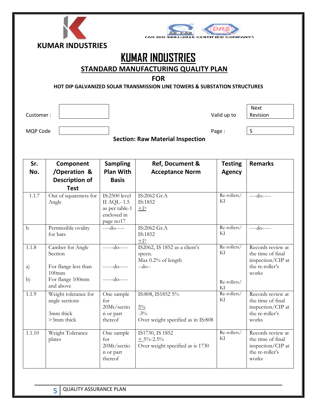| <b>(AN ISO</b><br><b>KUMAR INDUSTRIES</b><br><b>KUMAR INDUSTRIES</b><br>STANDARD MANUFACTURING QUALITY PLAN<br><b>FOR</b><br>HOT DIP GALVANIZED SOLAR TRANSMISSION LINE TOWERS & SUBSTATION STRUCTURES |                                                                   |                                                                                  |                                                                            |                   |                                                                                                     |  |
|--------------------------------------------------------------------------------------------------------------------------------------------------------------------------------------------------------|-------------------------------------------------------------------|----------------------------------------------------------------------------------|----------------------------------------------------------------------------|-------------------|-----------------------------------------------------------------------------------------------------|--|
| Customer:                                                                                                                                                                                              |                                                                   |                                                                                  |                                                                            | Valid up to       | <b>Next</b><br>Revision                                                                             |  |
| MQP Code                                                                                                                                                                                               |                                                                   |                                                                                  |                                                                            | Page:             | 5                                                                                                   |  |
|                                                                                                                                                                                                        |                                                                   |                                                                                  | <b>Section: Raw Material Inspection</b>                                    |                   |                                                                                                     |  |
| Sr.                                                                                                                                                                                                    | Component                                                         | <b>Sampling</b>                                                                  | Ref, Document &                                                            | <b>Testing</b>    | <b>Remarks</b>                                                                                      |  |
| No.                                                                                                                                                                                                    | /Operation &<br><b>Description of</b><br><b>Test</b>              | <b>Plan With</b><br><b>Basis</b>                                                 | <b>Acceptance Norm</b>                                                     | <b>Agency</b>     |                                                                                                     |  |
| 1.1.7                                                                                                                                                                                                  | Out of squareness for<br>Angle                                    | IS:2500 level<br><b>II AQL-1.5</b><br>as per table-1<br>enclosed in<br>page no17 | IS:2062 Gr.A<br>IS:1852<br>$\pm 1^0$                                       | Re-rollers/<br>KI | $---do---$                                                                                          |  |
| $\mathbf b$                                                                                                                                                                                            | Permissible ovality<br>for bars                                   | ----do-----                                                                      | IS:2062 Gr.A<br>IS:1852<br>$+10$                                           | Re-rollers/<br>KI | ----do-----                                                                                         |  |
| 1.1.8<br>a)                                                                                                                                                                                            | Camber for Angle<br>Section<br>For flange less than<br>$100$ mm   | -----do-----<br>$---do---$                                                       | IS2062, IS 1852 as a client's<br>specn.<br>Max 0.2% of length<br>$-do-$    | KI                | Re-rollers/ Records review at<br>the time of final<br>inspection/CIP at<br>the re-roller's<br>works |  |
| b)                                                                                                                                                                                                     | For flange 100mm<br>and above                                     | $---do---$                                                                       |                                                                            | Re-rollers/<br>KI |                                                                                                     |  |
| 1.1.9                                                                                                                                                                                                  | Weight tolerance for<br>angle sections<br>3mm thick<br>>3mm thick | One sample<br>for<br>20Mt/sectio<br>n or part<br>thereof                         | IS:808, IS1852 5%<br>$5\%$<br>$-3\%$<br>Over weight specified as in IS:808 | Re-rollers/<br>KI | Records review at<br>the time of final<br>inspection/CIP at<br>the re-roller's<br>works             |  |
| 1.1.10                                                                                                                                                                                                 | Weight Tolerance<br>plates                                        | One sample<br>for<br>20Mt/sectio<br>n or part<br>thereof                         | IS1730, IS 1852<br>$+5\% -2.5\%$<br>Over weight specified as is 1730       | Re-rollers/<br>KI | Records review at<br>the time of final<br>inspection/CIP at<br>the re-roller's<br>works             |  |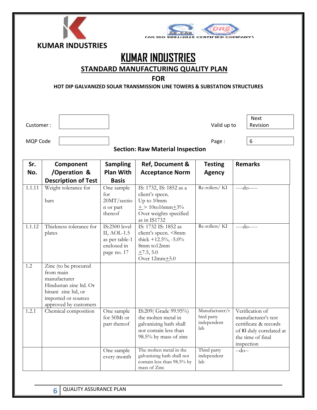| <b>KUMAR INDUSTRIES</b> |
|-------------------------|



STANDARD MANUFACTURING QUALITY PLAN

#### FOR

HOT DIP GALVANIZED SOLAR TRANSMISSION LINE TOWERS & SUBSTATION STRUCTURES

l

Customer :  $\begin{vmatrix} 1 & 1 & 1 \\ 1 & 1 & 1 \\ 1 & 1 & 1 \end{vmatrix}$  Valid up to

Next Revision

MQP Code | and Code | code | code | code | code | code | code | code | code | code | code | code | code | code

Section: Raw Material Inspection

| Sr.    | Component                                                                                                                                          | <b>Sampling</b>                                                                     | <b>Ref, Document &amp;</b>                                                                                                | <b>Testing</b>                                     | <b>Remarks</b>                                                                                                                 |
|--------|----------------------------------------------------------------------------------------------------------------------------------------------------|-------------------------------------------------------------------------------------|---------------------------------------------------------------------------------------------------------------------------|----------------------------------------------------|--------------------------------------------------------------------------------------------------------------------------------|
| No.    | /Operation &                                                                                                                                       | <b>Plan With</b>                                                                    | <b>Acceptance Norm</b>                                                                                                    | <b>Agency</b>                                      |                                                                                                                                |
|        | <b>Description of Test</b>                                                                                                                         | <b>Basis</b>                                                                        |                                                                                                                           |                                                    |                                                                                                                                |
| 1.1.11 | Weight tolerance for<br>bars                                                                                                                       | One sample<br>for<br>20MT/sectio                                                    | IS: 1732, IS: 1852 as a<br>client's specn.<br>Up to 10mm                                                                  | Re-rollers/KI                                      | $---do---$                                                                                                                     |
|        |                                                                                                                                                    | n or part<br>thereof                                                                | $\pm$ > 10to16mm $\pm$ 3%<br>Over weights specified<br>as in IS1732                                                       |                                                    |                                                                                                                                |
| 1.1.12 | Thickness tolerance for<br>plates                                                                                                                  | <b>IS:2500 level</b><br>II, AOL-1.5<br>as per table-1<br>enclosed in<br>page no. 17 | IS: 1732 IS: 1852 as<br>client's specn. <8mm<br>thick $+12.5\%$ , -5.0%<br>8mm to12mm<br>$+7.5, 5.0$<br>Over $12mm + 5.0$ | Re-rollers/KI                                      | $---do---$                                                                                                                     |
| 1.2    | Zinc (to be procured<br>from main<br>manufacturer<br>Hindustan zinc ltd. Or<br>binani zinc ltd, or<br>imported or sources<br>approved by customers |                                                                                     |                                                                                                                           |                                                    |                                                                                                                                |
| 1.2.1  | Chemical composition                                                                                                                               | One sample<br>for 50Mt or<br>part thereof                                           | IS:209(Grade 99.95%)<br>the molten metal in<br>galvanizing bath shall<br>not contain less than<br>98.5% by mass of zinc   | Manufacturer/t<br>hird party<br>independent<br>lab | Verification of<br>manufacturer's test<br>certificate & records<br>of KI duly correlated at<br>the time of final<br>inspection |
|        |                                                                                                                                                    | One sample<br>every month                                                           | The molten metal in the<br>galvanizing bath shall not<br>contain less than 98.5% by<br>mass of Zinc                       | Third party<br>independent<br>lab                  | $-do-$                                                                                                                         |

6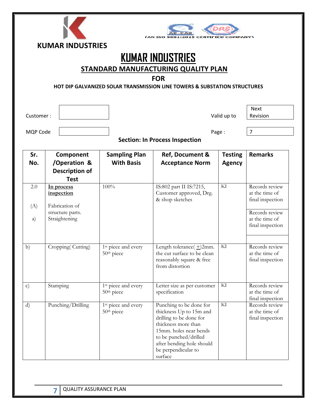| <b>CAN ISO</b><br><b>KUMAR INDUSTRIES</b><br><b>KUMAR INDUSTRIES</b><br>STANDARD MANUFACTURING QUALITY PLAN<br><b>FOR</b><br>HOT DIP GALVANIZED SOLAR TRANSMISSION LINE TOWERS & SUBSTATION STRUCTURES |                                                                                 |                                                 |                                                                                                                                                                                                                        |                                 |                                                                                                              |  |  |
|--------------------------------------------------------------------------------------------------------------------------------------------------------------------------------------------------------|---------------------------------------------------------------------------------|-------------------------------------------------|------------------------------------------------------------------------------------------------------------------------------------------------------------------------------------------------------------------------|---------------------------------|--------------------------------------------------------------------------------------------------------------|--|--|
| Customer:                                                                                                                                                                                              |                                                                                 |                                                 |                                                                                                                                                                                                                        | Valid up to                     | <b>Next</b><br>Revision                                                                                      |  |  |
|                                                                                                                                                                                                        |                                                                                 |                                                 |                                                                                                                                                                                                                        |                                 |                                                                                                              |  |  |
| MQP Code                                                                                                                                                                                               |                                                                                 |                                                 | <b>Section: In Process Inspection</b>                                                                                                                                                                                  | Page:                           | $\overline{7}$                                                                                               |  |  |
| Sr.<br>No.                                                                                                                                                                                             | Component<br>/Operation &<br><b>Description of</b><br><b>Test</b>               | <b>Sampling Plan</b><br><b>With Basis</b>       | <b>Ref, Document &amp;</b><br><b>Acceptance Norm</b>                                                                                                                                                                   | <b>Testing</b><br><b>Agency</b> | <b>Remarks</b>                                                                                               |  |  |
| 2.0<br>(A)<br>a)                                                                                                                                                                                       | In process<br>inspection<br>Fabrication of<br>structure parts.<br>Straightening | 100%                                            | IS:802 part II IS:7215,<br>Customer approved, Drg.<br>& shop sketches                                                                                                                                                  | KI                              | Records review<br>at the time of<br>final inspection<br>Records review<br>at the time of<br>final inspection |  |  |
| b)                                                                                                                                                                                                     | Cropping(Cutting)                                                               | 1 <sup>st</sup> piece and every<br>$50th$ piece | Length tolerance $(\pm)$ 2mm.<br>the cut surface to be clean<br>reasonably square & free<br>from distortion                                                                                                            | $\overline{\text{KI}}$          | Records review<br>at the time of<br>final inspection                                                         |  |  |
| $\mathbf{c})$                                                                                                                                                                                          | Stamping                                                                        | 1 <sup>st</sup> piece and every<br>50th piece   | Letter size as per customer<br>specification                                                                                                                                                                           | KI                              | Records review<br>at the time of<br>final inspection                                                         |  |  |
| $\mathbf{d}$                                                                                                                                                                                           | Punching/Drilling                                                               | 1 <sup>st</sup> piece and every<br>$50th$ piece | Punching to be done for<br>thickness Up to 15m and<br>drilling to be done for<br>thickness more than<br>15mm. holes near bends<br>to be punched/drilled<br>after bending hole should<br>be perpendicular to<br>surface | $\mathop{\rm Kl}\nolimits$      | Records review<br>at the time of<br>final inspection                                                         |  |  |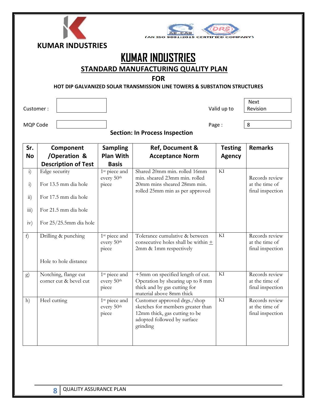|                                                 | <b>KUMAR INDUSTRIES</b><br><b>KUMAR INDUSTRIES</b><br><b>STANDARD MANUFACTURING QUALITY PLAN</b><br><b>FOR</b><br><b>HOT DIP GALVANIZED SOLAR TRANSMISSION LINE TOWERS &amp; SUBSTATION STRUCTURES</b> |                                                              |                                                                                                                                               |                                 |                                                      |  |  |  |
|-------------------------------------------------|--------------------------------------------------------------------------------------------------------------------------------------------------------------------------------------------------------|--------------------------------------------------------------|-----------------------------------------------------------------------------------------------------------------------------------------------|---------------------------------|------------------------------------------------------|--|--|--|
| Customer:                                       |                                                                                                                                                                                                        |                                                              |                                                                                                                                               | Valid up to                     | <b>Next</b><br>Revision                              |  |  |  |
| <b>MQP Code</b>                                 |                                                                                                                                                                                                        |                                                              | <b>Section: In Process Inspection</b>                                                                                                         | Page:                           | 8                                                    |  |  |  |
| Sr.<br><b>No</b>                                | Component<br>/Operation &<br><b>Description of Test</b>                                                                                                                                                | <b>Sampling</b><br><b>Plan With</b><br><b>Basis</b>          | Ref, Document &<br><b>Acceptance Norm</b>                                                                                                     | <b>Testing</b><br><b>Agency</b> | <b>Remarks</b>                                       |  |  |  |
| $\mathbf{i}$<br>$\ddot{i}$<br>$\overline{11}$ ) | Edge security<br>For 13.5 mm dia hole<br>For 17.5 mm dia hole                                                                                                                                          | 1 <sup>st</sup> piece and<br>every 50 <sup>th</sup><br>piece | Shared 20mm min. rolled 16mm<br>min. sheared 23mm min. rolled<br>20mm mins sheared 28mm min.<br>rolled 25mm min as per approved               | KI                              | Records review<br>at the time of<br>final inspection |  |  |  |
| $\overline{111}$ )<br>iv)                       | For 21.5 mm dia hole<br>For 25/25.5mm dia hole                                                                                                                                                         |                                                              |                                                                                                                                               |                                 |                                                      |  |  |  |
| f                                               | Drilling & punching<br>Hole to hole distance                                                                                                                                                           | 1 <sup>st</sup> piece and<br>every $50th$<br>piece           | Tolerance cumulative & between<br>consecutive holes shall be within $+$<br>2mm & 1mm respectively                                             | KI                              | Records review<br>at the time of<br>final inspection |  |  |  |
| g)                                              | Notching, flange cut<br>corner cut & bevel cut                                                                                                                                                         | 1 <sup>st</sup> piece and<br>every 50 <sup>th</sup><br>piece | +5mm on specified length of cut.<br>Operation by shearing up to 8 mm<br>thick and by gas cutting for<br>material above 8mm thick              | KI                              | Records review<br>at the time of<br>final inspection |  |  |  |
| h)                                              | Heel cutting                                                                                                                                                                                           | 1 <sup>st</sup> piece and<br>every 50th<br>piece             | Customer approved drgs./shop<br>sketches for members greater than<br>12mm thick, gas cutting to be<br>adopted followed by surface<br>grinding | $\mathop{\rm Kl}\nolimits$      | Records review<br>at the time of<br>final inspection |  |  |  |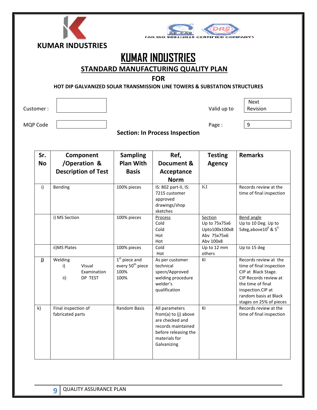|           | <b>KUMAR INDUSTRIES</b>                                                   |                              | <b>CAN ISO</b>                             |                          |                                              |
|-----------|---------------------------------------------------------------------------|------------------------------|--------------------------------------------|--------------------------|----------------------------------------------|
|           |                                                                           |                              |                                            |                          |                                              |
|           |                                                                           |                              | <b>KUMAR INDUSTRIES</b>                    |                          |                                              |
|           |                                                                           |                              | <b>STANDARD MANUFACTURING QUALITY PLAN</b> |                          |                                              |
|           |                                                                           |                              |                                            |                          |                                              |
|           |                                                                           |                              | <b>FOR</b>                                 |                          |                                              |
|           | HOT DIP GALVANIZED SOLAR TRANSMISSION LINE TOWERS & SUBSTATION STRUCTURES |                              |                                            |                          |                                              |
|           |                                                                           |                              |                                            |                          |                                              |
|           |                                                                           |                              |                                            |                          | <b>Next</b>                                  |
| Customer: |                                                                           |                              |                                            | Valid up to              | Revision                                     |
|           |                                                                           |                              |                                            |                          |                                              |
| MQP Code  |                                                                           |                              |                                            | Page:                    | 9                                            |
|           |                                                                           |                              | <b>Section: In Process Inspection</b>      |                          |                                              |
|           |                                                                           |                              |                                            |                          |                                              |
|           |                                                                           |                              |                                            |                          |                                              |
| Sr.       | Component                                                                 | <b>Sampling</b>              | Ref,                                       | <b>Testing</b>           | <b>Remarks</b>                               |
| <b>No</b> | /Operation &                                                              | <b>Plan With</b>             | Document &                                 | <b>Agency</b>            |                                              |
|           | <b>Description of Test</b>                                                | <b>Basis</b>                 | Acceptance                                 |                          |                                              |
|           |                                                                           |                              | <b>Norm</b>                                |                          |                                              |
| i)        | Bending                                                                   | 100% pieces                  | IS: 802 part-II, IS:                       | KI                       | Records review at the                        |
|           |                                                                           |                              | 7215 customer                              |                          | time of final inspection                     |
|           |                                                                           |                              | approved<br>drawings/shop                  |                          |                                              |
|           |                                                                           |                              | sketches                                   |                          |                                              |
|           | i) MS Section                                                             | 100% pieces                  | Process                                    | Section                  | <b>Bend angle</b>                            |
|           |                                                                           |                              | Cold                                       | Up to 75x75x6            | Up to 10 Deg. Up to                          |
|           |                                                                           |                              | Cold                                       | Upto100x100x8            | 5deg,above $10^{\circ}$ & $5^{\circ}$        |
|           |                                                                           |                              | Hot<br>Hot                                 | Abv 75x75x6<br>Abv 100x8 |                                              |
|           | ii) MS Plates                                                             | 100% pieces                  | Cold                                       | Up to 12 mm              | Up to 15 deg                                 |
|           |                                                                           |                              | Hot                                        | others                   |                                              |
| j)        | Welding                                                                   | $1st$ piece and              | As per customer                            | ΚI                       | Records review at the                        |
|           | Visual<br>i)                                                              | every 50 <sup>th</sup> piece | technical                                  |                          | time of final inspection                     |
|           | Examination                                                               | 100%                         | specn/Approved                             |                          | CIP at Black Stage.<br>CIP Records review at |
|           | DP TEST<br>ii)                                                            | 100%                         | welding procedure<br>welder's              |                          | the time of final                            |
|           |                                                                           |                              |                                            |                          |                                              |

qualification

from(a) to (j) above are checked and records maintained before releasing the materials for Galvanizing

Random Basis | All parameters

inspection.CIP at random basis at Black stages on 25% of pieces

time of final inspection

KI Records review at the

k) Final inspection of fabricated parts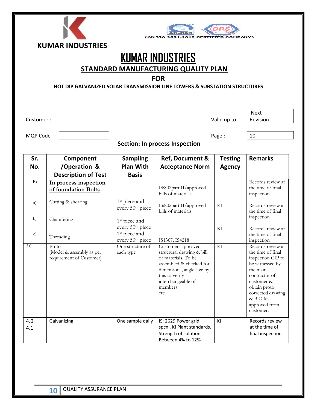



## KUMAR INDUSTRIES

STANDARD MANUFACTURING QUALITY PLAN

#### FOR

HOT DIP GALVANIZED SOLAR TRANSMISSION LINE TOWERS & SUBSTATION STRUCTURES

l

Customer : Notice and the set of the set of the set of the valid up to valid up to valid up to

Next Revision

MQP Code Page : 10

| Sr.<br>No.    | Component<br>/Operation &<br><b>Description of Test</b>       | <b>Sampling</b><br><b>Plan With</b><br><b>Basis</b>       | Ref, Document &<br><b>Acceptance Norm</b>                                                                                                                                                 | <b>Testing</b><br><b>Agency</b> | <b>Remarks</b>                                                                                                                                                                                           |
|---------------|---------------------------------------------------------------|-----------------------------------------------------------|-------------------------------------------------------------------------------------------------------------------------------------------------------------------------------------------|---------------------------------|----------------------------------------------------------------------------------------------------------------------------------------------------------------------------------------------------------|
| B)            | In process inspection<br>of foundation Bolts                  |                                                           | IS:802part II/approved<br>bills of materials                                                                                                                                              |                                 | Records review at<br>the time of final<br>inspection                                                                                                                                                     |
| a)            | Cutting & shearing                                            | 1 <sup>st</sup> piece and<br>every 50th piece             | IS:802part II/approved<br>bills of materials                                                                                                                                              | KI                              | Records review at<br>the time of final                                                                                                                                                                   |
| b)            | Chamfering                                                    | 1 <sup>st</sup> piece and<br>every 50 <sup>th</sup> piece |                                                                                                                                                                                           | KI                              | inspection<br>Records review at                                                                                                                                                                          |
| $\mathbf{c})$ | Threading                                                     | 1 <sup>st</sup> piece and<br>every 50th piece             | IS1367, IS4218                                                                                                                                                                            |                                 | the time of final<br>inspection                                                                                                                                                                          |
| 3.0           | Proto<br>(Model & assembly as per<br>requirement of Customer) | One structure of<br>each type                             | Customers approved<br>structural drawing & bill<br>of materials. To be<br>assembled & checked for<br>dimensions, angle size by<br>this to verify<br>interchangeable of<br>members<br>etc. | KI                              | Records review at<br>the time of final<br>inspection CIP to<br>be witnessed by<br>the main<br>contractor of<br>customer &<br>obtain proto<br>corrected drawing<br>& B.O.M.<br>approved from<br>customer. |
| 4.0<br>4.1    | Galvanizing                                                   | One sample daily                                          | IS: 2629 Power grid<br>spcn. KI Plant standards.<br>Strength of solution<br>Between 4% to 12%                                                                                             | KI                              | Records review<br>at the time of<br>final inspection                                                                                                                                                     |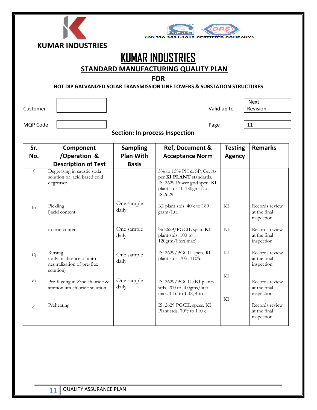



## KUMAR INDUSTRIES

STANDARD MANUFACTURING QUALITY PLAN

#### FOR

#### HOT DIP GALVANIZED SOLAR TRANSMISSION LINE TOWERS & SUBSTATION STRUCTURES

l

Customer :  $\begin{vmatrix} 1 & 1 & 1 \\ 1 & 1 & 1 \\ 1 & 1 & 1 \end{vmatrix}$  Valid up to

Next Revision

MQP Code | 11

| Sr.           | Component                                                                      | <b>Sampling</b>     | Ref, Document &                                                                                                             | <b>Testing</b> | <b>Remarks</b>                               |
|---------------|--------------------------------------------------------------------------------|---------------------|-----------------------------------------------------------------------------------------------------------------------------|----------------|----------------------------------------------|
| No.           | /Operation &                                                                   | <b>Plan With</b>    | <b>Acceptance Norm</b>                                                                                                      | <b>Agency</b>  |                                              |
|               | <b>Description of Test</b>                                                     | <b>Basis</b>        |                                                                                                                             |                |                                              |
| a)            | Degreasing in caustic soda<br>solution or acid based cold<br>degreaser         |                     | 5% to 15% PH & SP, Gr. As<br>per KI PLANT standards.<br>IS: 2629 Power grid spcn. KI<br>plant stds.40-180gms/Lt.<br>IS:2629 |                |                                              |
| b)            | Pickling<br>i) acid content                                                    | One sample<br>daily | KI plant stds. $40^{\circ}$ c to 180<br>gram/Ltr.                                                                           | KI             | Records review<br>at the final<br>inspection |
|               | ii) iron content                                                               | One sample<br>daily | <sup>I</sup> S: 2629/PGCIL spcn. $KI$<br>plant stds. 100 to<br>120grm/liter(max)                                            | KI             | Records review<br>at the final<br>inspection |
| $\mathcal{C}$ | Rinsing<br>(only in absence of auto<br>neutralization of pre-flux<br>solution) | One sample<br>daily | IS: $2629/PGCIL$ spcn. KI<br>plant stds. $70^{\rm 0}$ c-110 $^{\rm 0}$ c                                                    | KI             | Records review<br>at the final<br>inspection |
| d)            | Pre-fluxing in Zinc chloride &<br>ammonium chloride solution                   | One sample<br>daily | IS: 2629/PGCIL/KI plants<br>stds. 200 to 400gms/liter<br>max. 1.16 to 1.32, 4 to 5                                          | KI<br>KI       | Records review<br>at the final<br>inspection |
| $\epsilon$ )  | Preheating                                                                     |                     | IS: 2629 PGCIL specs. KI<br>Plant stds. 70 $\degree$ c to 110 $\degree$ c                                                   |                | Records review<br>at the final<br>inspection |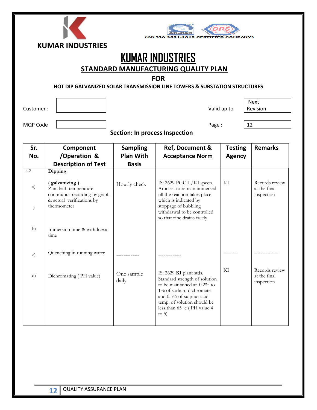| ш | --<br>., |  |
|---|----------|--|



## KUMAR INDUSTRIES

STANDARD MANUFACTURING QUALITY PLAN

#### FOR

#### HOT DIP GALVANIZED SOLAR TRANSMISSION LINE TOWERS & SUBSTATION STRUCTURES

l

Customer : Notice and the Customer : Notice and The Customer : National Policy of the Valid up to National Policy of the Valid up to  $\sim$ 

Next Revision

MQP Code Page : 12

| Sr.           | Component                                                                                                           | <b>Sampling</b>     | Ref, Document &                                                                                                                                                                                                                   | <b>Testing</b> | <b>Remarks</b>                               |
|---------------|---------------------------------------------------------------------------------------------------------------------|---------------------|-----------------------------------------------------------------------------------------------------------------------------------------------------------------------------------------------------------------------------------|----------------|----------------------------------------------|
| No.           | /Operation &                                                                                                        | <b>Plan With</b>    | <b>Acceptance Norm</b>                                                                                                                                                                                                            | <b>Agency</b>  |                                              |
|               | <b>Description of Test</b>                                                                                          | <b>Basis</b>        |                                                                                                                                                                                                                                   |                |                                              |
| 4.2           | Dipping                                                                                                             |                     |                                                                                                                                                                                                                                   |                |                                              |
| a)            | (galvanizing)<br>Zinc bath temperature<br>continuous recording by graph<br>& actual verifications by<br>thermometer | Hourly check        | IS: 2629 PGCIL/KI specn.<br>Articles to remain immersed<br>till the reaction takes place<br>which is indicated by<br>stoppage of bubbling<br>withdrawal to be controlled                                                          | KI             | Records review<br>at the final<br>inspection |
|               |                                                                                                                     |                     | so that zinc drains freely                                                                                                                                                                                                        |                |                                              |
| b)            | Immersion time & withdrawal<br>time                                                                                 |                     |                                                                                                                                                                                                                                   |                |                                              |
| $\mathbf{c})$ | Quenching in running water                                                                                          |                     |                                                                                                                                                                                                                                   |                |                                              |
| d)            | Dichromating (PH value)                                                                                             | One sample<br>daily | IS: 2629 KI plant stds.<br>Standard strength of solution<br>to be maintained at .0.2% to<br>1% of sodium dichromate<br>and 0.5% of sulphur acid<br>temp. of solution should be<br>less than $65^{\circ}$ c (PH value 4<br>to $5)$ | KI             | Records review<br>at the final<br>inspection |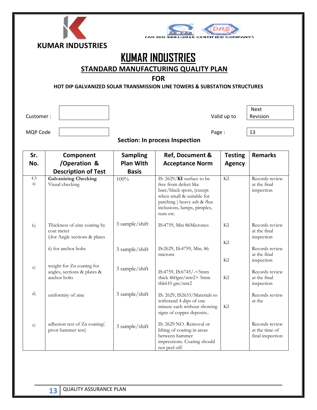



## KUMAR INDUSTRIES

STANDARD MANUFACTURING QUALITY PLAN

#### FOR

HOT DIP GALVANIZED SOLAR TRANSMISSION LINE TOWERS & SUBSTATION STRUCTURES

l

Customer :  $\begin{vmatrix} 1 & 1 & 1 \\ 1 & 1 & 1 \\ 1 & 1 & 1 \end{vmatrix}$  Valid up to

Next Revision

MQP Code Page : 13

| Sr.           | Component                                                                    | <b>Sampling</b>  | Ref, Document &                                                                                                                                                                        | <b>Testing</b>  | <b>Remarks</b>                                       |
|---------------|------------------------------------------------------------------------------|------------------|----------------------------------------------------------------------------------------------------------------------------------------------------------------------------------------|-----------------|------------------------------------------------------|
| No.           | /Operation &                                                                 | <b>Plan With</b> | <b>Acceptance Norm</b>                                                                                                                                                                 | <b>Agency</b>   |                                                      |
|               | <b>Description of Test</b>                                                   | <b>Basis</b>     |                                                                                                                                                                                        |                 |                                                      |
| 4.3<br>a)     | <b>Galvanizing Checking</b><br>Visual checking                               | 100%             | IS: 2629/KI surface to be<br>free from defect like<br>bare/black spots, (except<br>when small & suitable for<br>patching) heavy ash & flux<br>inclusions, lumps, pimples,<br>runs etc. | $\overline{Kl}$ | Records review<br>at the final<br>inspection         |
| b)            | Thickness of zinc coating by<br>coat meter<br>i) for Angle sections & plates | 3 sample/shift   | IS:4759, Min 86Micrones                                                                                                                                                                | KI<br>KI        | Records review<br>at the final<br>inspection         |
|               | ii) for anchor bolts                                                         | 3 sample/shift   | IS:2629, IS:4759, Min. 86<br>microns                                                                                                                                                   | KI              | Records review<br>at the final<br>inspection         |
| $\mathbf{c})$ | weight for Zn coating for<br>angles, sections & plates &<br>anchor bolts     | 3 sample/shift   | IS:4759, IS:6745/-<5mm<br>thick $460gm/mtr2 > 5mm$<br>thk610 $gm/mtr2$                                                                                                                 | KI              | Records review<br>at the final<br>inspection         |
| d)            | uniformity of zinc                                                           | 3 sample/shift   | IS: 2629, IS2633/Materials to<br>withstand 4 dips of one<br>minute each without showing<br>signs of copper deposits                                                                    | KI              | Records review<br>at the                             |
| $\epsilon$ )  | adhesion test of Zn coating(<br>pivot hammer test)                           | 3 sample/shift   | IS: 2629 NO. Removal or<br>lifting of coating in areas<br>between hammer<br>impressions. Coating should<br>not peel off.                                                               |                 | Records review<br>at the time of<br>final inspection |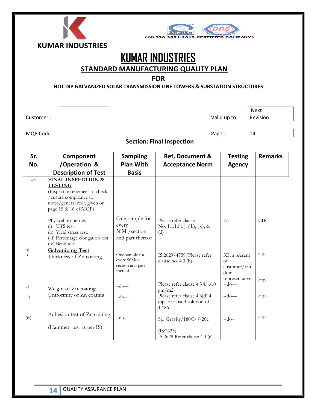|  | A B INIBU LETDU |  |
|--|-----------------|--|



## KUMAR INDUSTRIES

STANDARD MANUFACTURING QUALITY PLAN

#### FOR

HOT DIP GALVANIZED SOLAR TRANSMISSION LINE TOWERS & SUBSTATION STRUCTURES

Customer : Notice and the contract of the customer : National Valid up to Valid up to

l

MQP Code | and Page : 14

Next Revision

Section: Final Inspection

| Sr.                   | Component                                                                                                                                                         | <b>Sampling</b>                                               | Ref, Document &                                                    | <b>Testing</b>                                                               | <b>Remarks</b> |
|-----------------------|-------------------------------------------------------------------------------------------------------------------------------------------------------------------|---------------------------------------------------------------|--------------------------------------------------------------------|------------------------------------------------------------------------------|----------------|
| No.                   | /Operation &                                                                                                                                                      | <b>Plan With</b>                                              | <b>Acceptance Norm</b>                                             | <b>Agency</b>                                                                |                |
|                       | <b>Description of Test</b>                                                                                                                                        | <b>Basis</b>                                                  |                                                                    |                                                                              |                |
| 5.0                   | <b>FINAL INSPECTION &amp;</b><br><b>TESTING</b><br>(Inspection engineer to check<br>/ensure compliance to<br>notes/general reqt. given on<br>page 15 & 16 of MQP) |                                                               |                                                                    |                                                                              |                |
|                       | Physical properties<br>$(i)$ UTS test<br>(ii) Yield stress test.<br>(iii) Percentage elongation test.<br>(iv) Bend test                                           | One sample for<br>every<br>50Mt/section<br>and part thereof   | Please refer clause<br>No. 1.1.1. $(a)$ , $(b)$ , $(c)$ , &<br>(d) | KI                                                                           | <b>CIP</b>     |
| b)<br>$\ddot{i}$      | <b>Galvanizing Test</b><br>Thickness of Zn coating                                                                                                                | One sample for<br>every 50Mt./<br>section and part<br>thereof | IS:2629/4759/Please refer<br>clause no. $4.3$ (b)                  | KI in present<br>of<br>$\text{customer}/\text{ran}$<br>dom<br>representative | CIP            |
| $\dddot{\mathbf{n}})$ | Weight of Zn coating                                                                                                                                              | $-do-$                                                        | Please refer clause 4.3 C 610<br>gm/m2                             | $-do-$                                                                       | <b>CIP</b>     |
| $\overline{111}$      | Uniformity of Zn coating                                                                                                                                          | $-do-$                                                        | Please refer clause 4.3(d) 4<br>dips of Cuso4 solution of<br>1.186 | $-do$ —                                                                      | CIP            |
| (iv)                  | Adhesion test of Zn coating                                                                                                                                       | $-do-$                                                        | Sp. Gravity/180C+/-20c                                             | $-do-$                                                                       | CIP            |
|                       | (Hammer test as per IS)                                                                                                                                           |                                                               | (IS:2633)<br>IS:2629 Refer clause 4.3 (e)                          |                                                                              |                |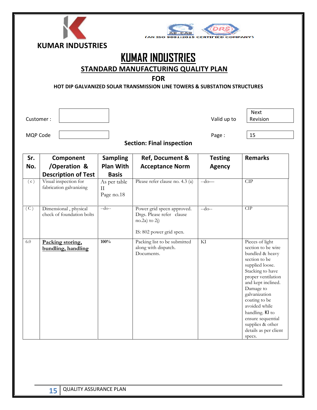

## KUMAR INDUSTRIES

STANDARD MANUFACTURING QUALITY PLAN

#### FOR

HOT DIP GALVANIZED SOLAR TRANSMISSION LINE TOWERS & SUBSTATION STRUCTURES

l

Customer :  $\begin{vmatrix} 1 & 1 & 1 \\ 1 & 1 & 1 \\ 1 & 1 & 1 \end{vmatrix}$  Valid up to

Next Revision

MQP Code | 25

#### Section: Final inspection

| Sr. | Component                                          | <b>Sampling</b>                        | Ref, Document &                                                                                          | <b>Testing</b> | <b>Remarks</b>                                                                                                                                                                                                                                                                                                              |
|-----|----------------------------------------------------|----------------------------------------|----------------------------------------------------------------------------------------------------------|----------------|-----------------------------------------------------------------------------------------------------------------------------------------------------------------------------------------------------------------------------------------------------------------------------------------------------------------------------|
| No. | /Operation &                                       | <b>Plan With</b>                       | <b>Acceptance Norm</b>                                                                                   | <b>Agency</b>  |                                                                                                                                                                                                                                                                                                                             |
|     | <b>Description of Test</b>                         | <b>Basis</b>                           |                                                                                                          |                |                                                                                                                                                                                                                                                                                                                             |
| (c) | Visual inspection for<br>fabrication galvanizing   | As per table<br>$\rm II$<br>Page no.18 | Please refer clause no. 4.3 (a)                                                                          | $-do-$         | CIP                                                                                                                                                                                                                                                                                                                         |
| (C) | Dimensional, physical<br>check of foundation bolts | $-do-$                                 | Power grid specn approved.<br>Drgs. Please refer clause<br>$no.2a)$ to $2j)$<br>IS: 802 power grid spcn. | $-do-$         | CIP                                                                                                                                                                                                                                                                                                                         |
| 6.0 | Packing storing,<br>bundling, handling             | 100%                                   | Packing list to be submitted<br>along with dispatch.<br>Documents.                                       | KI             | Pieces of light<br>section to be wire<br>bundled & heavy<br>section to be<br>supplied loose.<br>Stacking to have<br>proper ventilation<br>and kept inclined.<br>Damage to<br>galvanization<br>coating to be<br>avoided while<br>handling. KI to<br>ensure sequential<br>supplies & other<br>details as per client<br>specs. |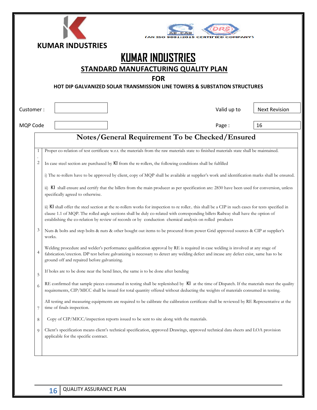|           | <b>KUMAR INDUSTRIES</b>                                                                                                                                                                                                                                                                                                                                                                            |  |
|-----------|----------------------------------------------------------------------------------------------------------------------------------------------------------------------------------------------------------------------------------------------------------------------------------------------------------------------------------------------------------------------------------------------------|--|
|           | <b>KUMAR INDUSTRIES</b>                                                                                                                                                                                                                                                                                                                                                                            |  |
|           | STANDARD MANUFACTURING QUALITY PLAN                                                                                                                                                                                                                                                                                                                                                                |  |
|           | <b>FOR</b>                                                                                                                                                                                                                                                                                                                                                                                         |  |
|           | HOT DIP GALVANIZED SOLAR TRANSMISSION LINE TOWERS & SUBSTATION STRUCTURES                                                                                                                                                                                                                                                                                                                          |  |
|           |                                                                                                                                                                                                                                                                                                                                                                                                    |  |
| Customer: | Valid up to<br><b>Next Revision</b>                                                                                                                                                                                                                                                                                                                                                                |  |
| MQP Code  | 16<br>Page:                                                                                                                                                                                                                                                                                                                                                                                        |  |
|           | Notes/General Requirement To be Checked/Ensured                                                                                                                                                                                                                                                                                                                                                    |  |
| 1         | Proper co-relation of test certificate w.r.t. the materials from the raw materials state to finished materials state shall be maintained.                                                                                                                                                                                                                                                          |  |
|           |                                                                                                                                                                                                                                                                                                                                                                                                    |  |
| 2         | In case steel section are purchased by KI from the re-rollers, the following conditions shall be fulfilled                                                                                                                                                                                                                                                                                         |  |
|           | i) The re-rollers have to be approved by client, copy of MQP shall be available at supplier's work and identification marks shall be ensured.                                                                                                                                                                                                                                                      |  |
|           | ii) KI shall ensure and certify that the billets from the main producer as per specification are: 2830 have been used for conversion, unless<br>specifically agreed to otherwise.                                                                                                                                                                                                                  |  |
|           | ii) KI shall offer the steel section at the re-rollers works for inspection to re roller. this shall be a CIP in such cases for tests specified in<br>clause 1.1 of MQP. The rolled angle sections shall be duly co-related with corresponding billets Railway shall have the option of<br>establishing the co-relation by review of records or by conduction chemical analysis on rolled products |  |
| 3         | Nuts & bolts and step bolts & nuts & other bought out items to be procured from power Grid approved sources & CIP at supplier's<br>works.                                                                                                                                                                                                                                                          |  |
| 4         | Welding procedure and welder's performance qualification approval by RE is required in case welding is involved at any stage of<br>fabrication/erection. DP test before galvanizing is necessary to detect any welding defect and incase any defect exist, same has to be<br>ground off and repaired before galvanizing.                                                                           |  |
| 5         | If holes are to be done near the bend lines, the same is to be done after bending                                                                                                                                                                                                                                                                                                                  |  |
| 6         | RE confirmed that sample pieces consumed in testing shall be replenished by KI at the time of Dispatch. If the materials meet the quality<br>requirements, CIP/MICC shall be issued for total quantity offered without deducting the weights of materials consumed in testing.                                                                                                                     |  |
| 7         | All testing and measuring equipments are required to be calibrate the calibration certificate shall be reviewed by RE Representative at the<br>time of finals inspection.                                                                                                                                                                                                                          |  |
| 8         | Copy of CIP/MICC/inspection reports issued to be sent to site along with the materials.                                                                                                                                                                                                                                                                                                            |  |
| 9         | Client's specification means client's technical specification, approved Drawings, approved technical data sheets and LOA provision<br>applicable for the specific contract.                                                                                                                                                                                                                        |  |
|           |                                                                                                                                                                                                                                                                                                                                                                                                    |  |
|           |                                                                                                                                                                                                                                                                                                                                                                                                    |  |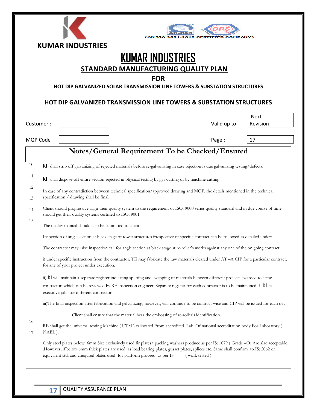|                                  |        | <b>KUMAR INDUSTRIES</b>                                                             |                                                                                                                                                                                                                                                                                                                                                                                                                                                                                                                                                                                                                                                                                                                                                                                                                                                                                                                                |                                       |               |             |                                                                                                                                            |
|----------------------------------|--------|-------------------------------------------------------------------------------------|--------------------------------------------------------------------------------------------------------------------------------------------------------------------------------------------------------------------------------------------------------------------------------------------------------------------------------------------------------------------------------------------------------------------------------------------------------------------------------------------------------------------------------------------------------------------------------------------------------------------------------------------------------------------------------------------------------------------------------------------------------------------------------------------------------------------------------------------------------------------------------------------------------------------------------|---------------------------------------|---------------|-------------|--------------------------------------------------------------------------------------------------------------------------------------------|
|                                  |        |                                                                                     | STANDARD MANUFACTURING QUALITY PLAN<br><b>HOT DIP GALVANIZED SOLAR TRANSMISSION LINE TOWERS &amp; SUBSTATION STRUCTURES</b>                                                                                                                                                                                                                                                                                                                                                                                                                                                                                                                                                                                                                                                                                                                                                                                                    | <b>KUMAR INDUSTRIES</b><br><b>FOR</b> |               |             |                                                                                                                                            |
|                                  |        |                                                                                     | <b>HOT DIP GALVANIZED TRANSMISSION LINE TOWERS &amp; SUBSTATION STRUCTURES</b>                                                                                                                                                                                                                                                                                                                                                                                                                                                                                                                                                                                                                                                                                                                                                                                                                                                 |                                       |               |             |                                                                                                                                            |
| Customer:                        |        |                                                                                     |                                                                                                                                                                                                                                                                                                                                                                                                                                                                                                                                                                                                                                                                                                                                                                                                                                                                                                                                |                                       |               | Valid up to | <b>Next</b><br>Revision                                                                                                                    |
| MQP Code                         |        |                                                                                     |                                                                                                                                                                                                                                                                                                                                                                                                                                                                                                                                                                                                                                                                                                                                                                                                                                                                                                                                |                                       |               | Page:       | 17                                                                                                                                         |
| 10<br>11<br>12<br>13<br>14<br>15 |        | specification / drawing shall be final.<br>for any of your project under execution. | KI shall strip off galvanizing of rejected materials before re-galvanizing in case rejection is due galvanizing testing/defects.<br>KI shall dispose-off entire section rejected in physical testing by gas cutting or by machine cutting.<br>In case of any contradiction between technical specification/approved drawing and MQP, the details mentioned in the technical<br>Client should progressive align their quality system to the requirement of ISO: 9000 series quality standard and in due course of time<br>should get their quality systems certified to ISO: 9001.<br>The quality manual should also be submitted to client.<br>Inspection of angle section at black stage of tower structures irrespective of specific contract can be followed as detailed under:<br>The contractor may raise inspection call for angle section at black stage at re-roller's works against any one of the on going contract. |                                       |               |             | i) under specific instruction from the contractor, TE may fabricate the raw materials cleared under AT -A CIP for a particular contract,   |
| 16                               | NABL). | executive jobs for different contractor.                                            | ii) KI will maintain a separate register indicating splitting and swapping of materials between different projects awarded to same<br>contractor, which can be reviewed by RE inspection engineer. Separate register for each contractor is to be maintained if KI is<br>Client shall ensure that the material bear the embossing of re-roller's identification.<br>RE shall get the universal testing Machine (UTM) calibrated From accredited Lab. Of national accreditation body For Laboratory (                                                                                                                                                                                                                                                                                                                                                                                                                           |                                       |               |             | iii)The final inspection after fabrication and galvanizing, however, will continue to be contract wise and CIP will be issued for each day |
| 17                               |        |                                                                                     | .However, if below 6mm thick plates are used as load bearing plates, gusset plates, splices etc. Same shall confirm to IS: 2062 or<br>equivalent std. and chequred plates used for platform proceed as per IS                                                                                                                                                                                                                                                                                                                                                                                                                                                                                                                                                                                                                                                                                                                  |                                       | (work tested) |             | Only steel plates below 6mm Size exclusively used fir plates/ packing washers produce as per IS: 1079 (Grade -O) Are also acceptable       |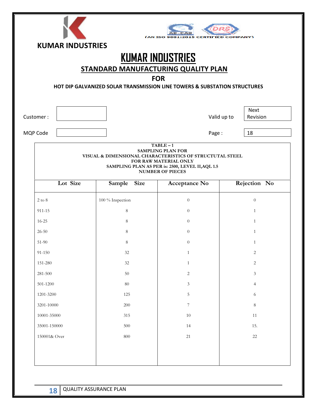|                   | <b>KUMAR INDUSTRIES</b> |                                                                           | N TSO                                                                                                                                           |              |                  |  |  |  |
|-------------------|-------------------------|---------------------------------------------------------------------------|-------------------------------------------------------------------------------------------------------------------------------------------------|--------------|------------------|--|--|--|
|                   |                         | <b>STANDARD MANUFACTURING QUALITY PLAN</b>                                | <b>KUMAR INDUSTRIES</b>                                                                                                                         |              |                  |  |  |  |
|                   | <b>FOR</b>              |                                                                           |                                                                                                                                                 |              |                  |  |  |  |
|                   |                         | HOT DIP GALVANIZED SOLAR TRANSMISSION LINE TOWERS & SUBSTATION STRUCTURES |                                                                                                                                                 |              |                  |  |  |  |
| Customer:         |                         |                                                                           |                                                                                                                                                 | Valid up to  | Next<br>Revision |  |  |  |
| MQP Code          |                         |                                                                           | Page:                                                                                                                                           |              | 18               |  |  |  |
|                   |                         | VISUAL & DIMENSIONAL CHARACTERISTICS OF STRUCTUTAL STEEL                  | $TABLE - 1$<br><b>SAMPLING PLAN FOR</b><br>FOR RAW MATERIAL ONLY<br>SAMPLING PLAN AS PER is: 2500, LEVEL II, AQL 1.5<br><b>NUMBER OF PIECES</b> |              |                  |  |  |  |
|                   | Lot Size                | <b>Size</b><br>Sample                                                     | Acceptance No                                                                                                                                   | Rejection No |                  |  |  |  |
| $2 \text{ to } 8$ |                         | 100 % Inspection                                                          | $\theta$                                                                                                                                        |              | $\overline{0}$   |  |  |  |
| 911-15            |                         | 8                                                                         | $\theta$                                                                                                                                        |              | $\mathbf{1}$     |  |  |  |
| $16 - 25$         |                         | 8                                                                         | $\theta$                                                                                                                                        |              | 1                |  |  |  |
| $26 - 50$         |                         | 8                                                                         | $\Omega$                                                                                                                                        |              | $\mathbf{1}$     |  |  |  |
| 51-90             |                         | 8                                                                         | $\overline{0}$                                                                                                                                  |              | $\mathbf{1}$     |  |  |  |
| $91 - 150$        |                         | $32\,$                                                                    | $\mathbf{1}$                                                                                                                                    |              | $\overline{c}$   |  |  |  |
| 151-280           |                         | $32\,$                                                                    | $\mathbf{1}$                                                                                                                                    |              | $\overline{c}$   |  |  |  |
| 281-500           |                         | $50\,$                                                                    | $\overline{c}$                                                                                                                                  |              | $\mathfrak{Z}$   |  |  |  |
| 501-1200          |                         | 80                                                                        | $\mathfrak{Z}$                                                                                                                                  |              | $\overline{4}$   |  |  |  |
| 1201-3200         |                         | 125                                                                       | $\mathbf 5$                                                                                                                                     |              | 6                |  |  |  |
| 3201-10000        |                         | 200                                                                       | $\overline{7}$                                                                                                                                  |              | 8                |  |  |  |
| 10001-35000       |                         | 315                                                                       | $10\,$                                                                                                                                          |              | 11               |  |  |  |
| 35001-150000      |                         | 500                                                                       | 14                                                                                                                                              |              | 15.              |  |  |  |
| 150001& Over      |                         | 800                                                                       | $21\,$                                                                                                                                          |              | $22\,$           |  |  |  |
|                   |                         |                                                                           |                                                                                                                                                 |              |                  |  |  |  |